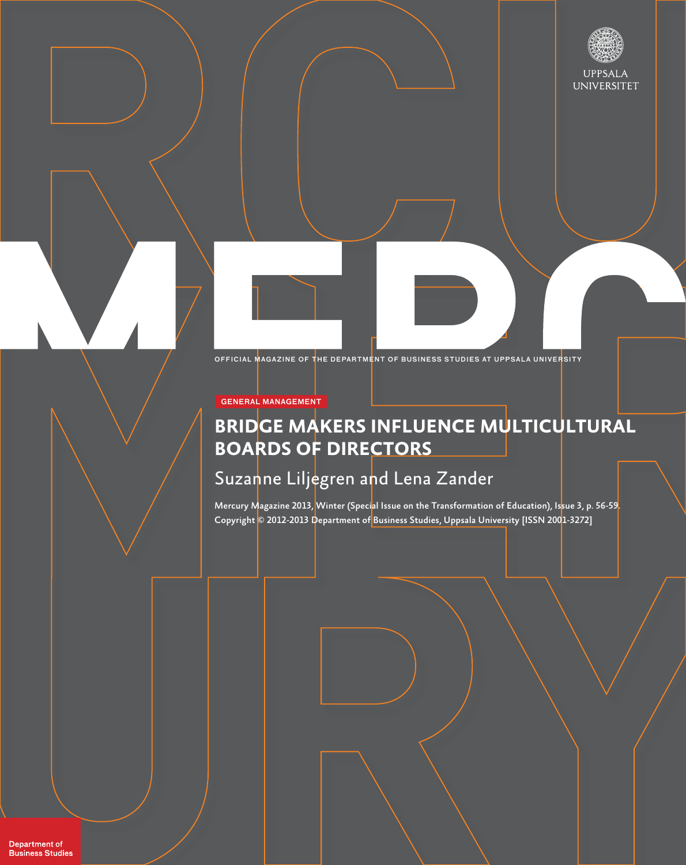

OFFICIAL MAGAZINE OF THE DEPARTMENT OF BUSINESS STUDIES AT UPPSALA UNIVERSITY

GENERAL MANAGEMENT

## **BRIDGE MAKERS INFLUENCE MULTICULTURAL BOARDS OF DIRECTORS**

# Suzanne Liljegren and Lena Zander

Mercury Magazine 2013, Winter (Special Issue on the Transformation of Education), Issue 3, p. 56-59. Copyright © 2012-2013 Department of Business Studies, Uppsala University [ISSN 2001-3272]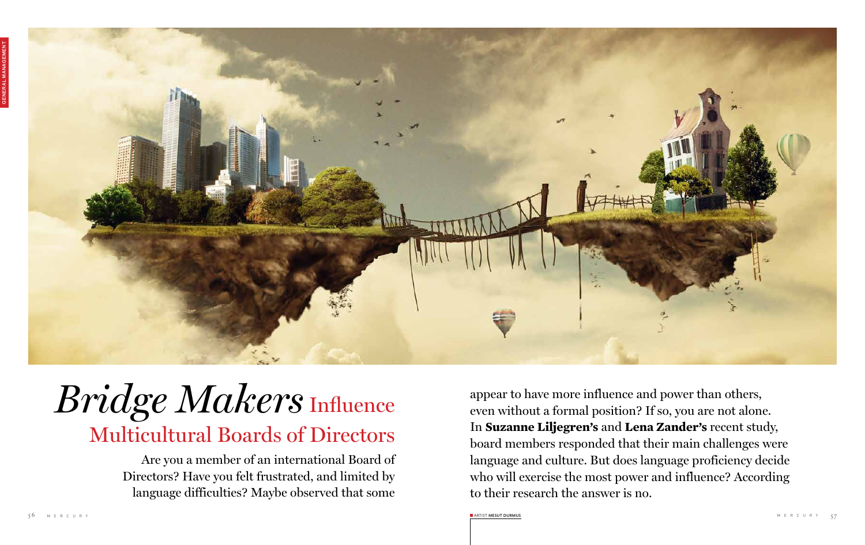

# $\emph{Bridge Mass}$   $\emph{Makers influence}$  appear to have more influence and power than others, even without a formal position? If so, you are not alone Multicultural Boards of Directors

Are you a member of an international Board of Directors? Have you felt frustrated, and limited by language difficulties? Maybe observed that some

even without a formal position? If so, you are not alone. In **Suzanne Liljegren's** and **Lena Zander's** recent study, board members responded that their main challenges were language and culture. But does language proficiency decide who will exercise the most power and influence? According to their research the answer is no.